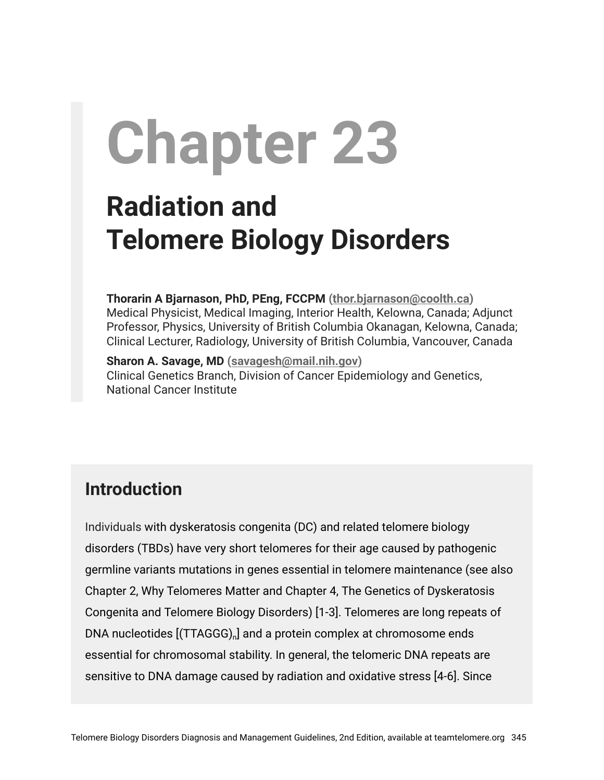# **Chapter 23**

# **Radiation and Telomere Biology Disorders**

**Thorarin A Bjarnason, PhD, PEng, FCCPM ([thor.bjarnason@coolth.ca](mailto:thor.bjarnason@coolth.ca))** Medical Physicist, Medical Imaging, Interior Health, Kelowna, Canada; Adjunct Professor, Physics, University of British Columbia Okanagan, Kelowna, Canada; Clinical Lecturer, Radiology, University of British Columbia, Vancouver, Canada

**Sharon A. Savage, MD ([savagesh@mail.nih.gov\)](mailto:savagesh@mail.nih.gov)** Clinical Genetics Branch, Division of Cancer Epidemiology and Genetics, National Cancer Institute

# **Introduction**

Individuals with dyskeratosis congenita (DC) and related telomere biology disorders (TBDs) have very short telomeres for their age caused by pathogenic germline variants mutations in genes essential in telomere maintenance (see also Chapter 2, Why Telomeres Matter and Chapter 4, The Genetics of Dyskeratosis Congenita and Telomere Biology Disorders) [1-3]. Telomeres are long repeats of DNA nucleotides  $[(\mathsf{TTAGGG})_{\mathsf{n}}]$  and a protein complex at chromosome ends essential for chromosomal stability. In general, the telomeric DNA repeats are sensitive to DNA damage caused by radiation and oxidative stress [4-6]. Since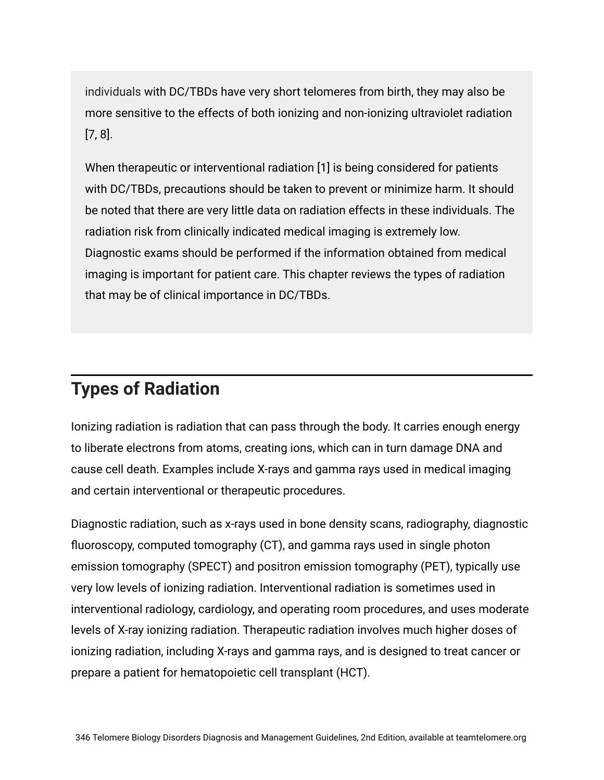individuals with DC/TBDs have very short telomeres from birth, they may also be more sensitive to the effects of both ionizing and non-ionizing ultraviolet radiation [7, 8].

When therapeutic or interventional radiation [1] is being considered for patients with DC/TBDs, precautions should be taken to prevent or minimize harm. It should be noted that there are very little data on radiation effects in these individuals. The radiation risk from clinically indicated medical imaging is extremely low. Diagnostic exams should be performed if the information obtained from medical imaging is important for patient care. This chapter reviews the types of radiation that may be of clinical importance in DC/TBDs.

# **Types of Radiation**

Ionizing radiation is radiation that can pass through the body. It carries enough energy to liberate electrons from atoms, creating ions, which can in turn damage DNA and cause cell death. Examples include X-rays and gamma rays used in medical imaging and certain interventional or therapeutic procedures.

Diagnostic radiation, such as x-rays used in bone density scans, radiography, diagnostic fluoroscopy, computed tomography (CT), and gamma rays used in single photon emission tomography (SPECT) and positron emission tomography (PET), typically use very low levels of ionizing radiation. Interventional radiation is sometimes used in interventional radiology, cardiology, and operating room procedures, and uses moderate levels of X-ray ionizing radiation. Therapeutic radiation involves much higher doses of ionizing radiation, including X-rays and gamma rays, and is designed to treat cancer or prepare a patient for hematopoietic cell transplant (HCT).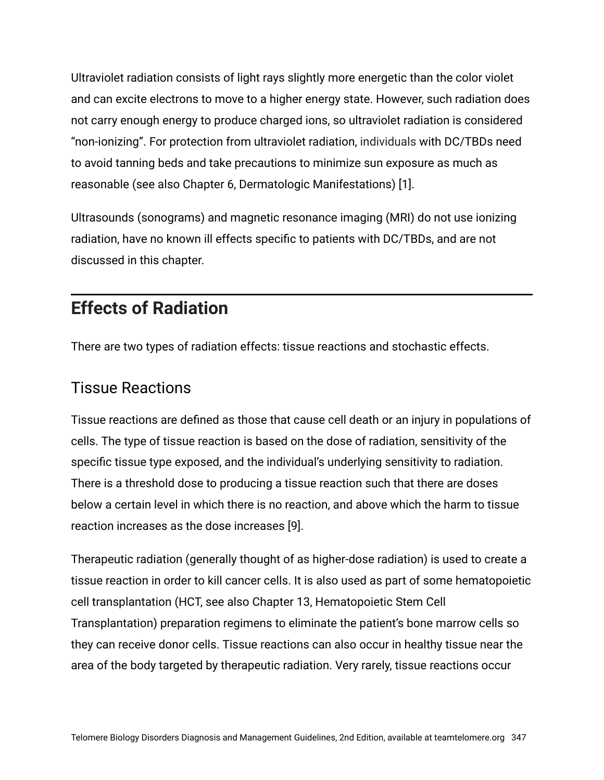Ultraviolet radiation consists of light rays slightly more energetic than the color violet and can excite electrons to move to a higher energy state. However, such radiation does not carry enough energy to produce charged ions, so ultraviolet radiation is considered "non-ionizing". For protection from ultraviolet radiation, individuals with DC/TBDs need to avoid tanning beds and take precautions to minimize sun exposure as much as reasonable (see also Chapter 6, Dermatologic Manifestations) [1].

Ultrasounds (sonograms) and magnetic resonance imaging (MRI) do not use ionizing radiation, have no known ill effects specific to patients with DC/TBDs, and are not discussed in this chapter.

# **Effects of Radiation**

There are two types of radiation effects: tissue reactions and stochastic effects.

#### Tissue Reactions

Tissue reactions are defined as those that cause cell death or an injury in populations of cells. The type of tissue reaction is based on the dose of radiation, sensitivity of the specific tissue type exposed, and the individual's underlying sensitivity to radiation. There is a threshold dose to producing a tissue reaction such that there are doses below a certain level in which there is no reaction, and above which the harm to tissue reaction increases as the dose increases [9].

Therapeutic radiation (generally thought of as higher-dose radiation) is used to create a tissue reaction in order to kill cancer cells. It is also used as part of some hematopoietic cell transplantation (HCT, see also Chapter 13, Hematopoietic Stem Cell Transplantation) preparation regimens to eliminate the patient's bone marrow cells so they can receive donor cells. Tissue reactions can also occur in healthy tissue near the area of the body targeted by therapeutic radiation. Very rarely, tissue reactions occur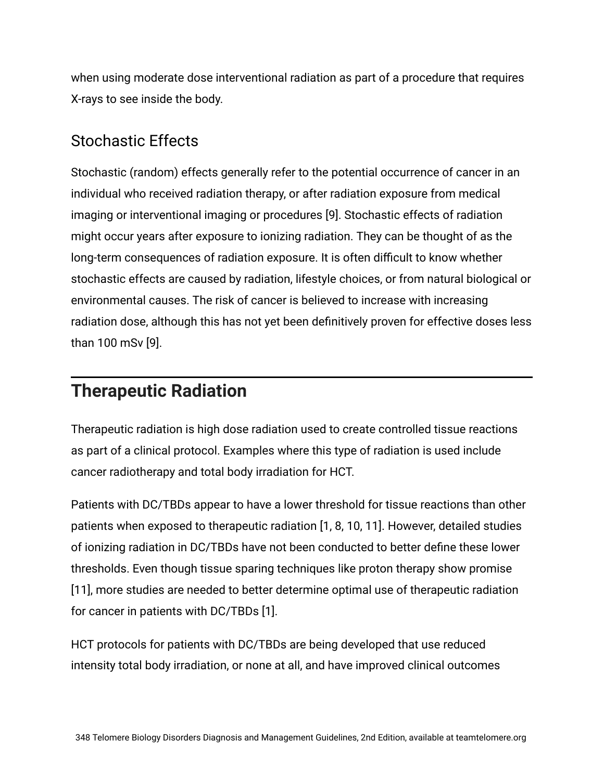when using moderate dose interventional radiation as part of a procedure that requires X-rays to see inside the body.

#### Stochastic Effects

Stochastic (random) effects generally refer to the potential occurrence of cancer in an individual who received radiation therapy, or after radiation exposure from medical imaging or interventional imaging or procedures [9]. Stochastic effects of radiation might occur years after exposure to ionizing radiation. They can be thought of as the long-term consequences of radiation exposure. It is often difficult to know whether stochastic effects are caused by radiation, lifestyle choices, or from natural biological or environmental causes. The risk of cancer is believed to increase with increasing radiation dose, although this has not yet been definitively proven for effective doses less than 100 mSv [9].

# **Therapeutic Radiation**

Therapeutic radiation is high dose radiation used to create controlled tissue reactions as part of a clinical protocol. Examples where this type of radiation is used include cancer radiotherapy and total body irradiation for HCT.

Patients with DC/TBDs appear to have a lower threshold for tissue reactions than other patients when exposed to therapeutic radiation [1, 8, 10, 11]. However, detailed studies of ionizing radiation in DC/TBDs have not been conducted to better define these lower thresholds. Even though tissue sparing techniques like proton therapy show promise [11], more studies are needed to better determine optimal use of therapeutic radiation for cancer in patients with DC/TBDs [1].

HCT protocols for patients with DC/TBDs are being developed that use reduced intensity total body irradiation, or none at all, and have improved clinical outcomes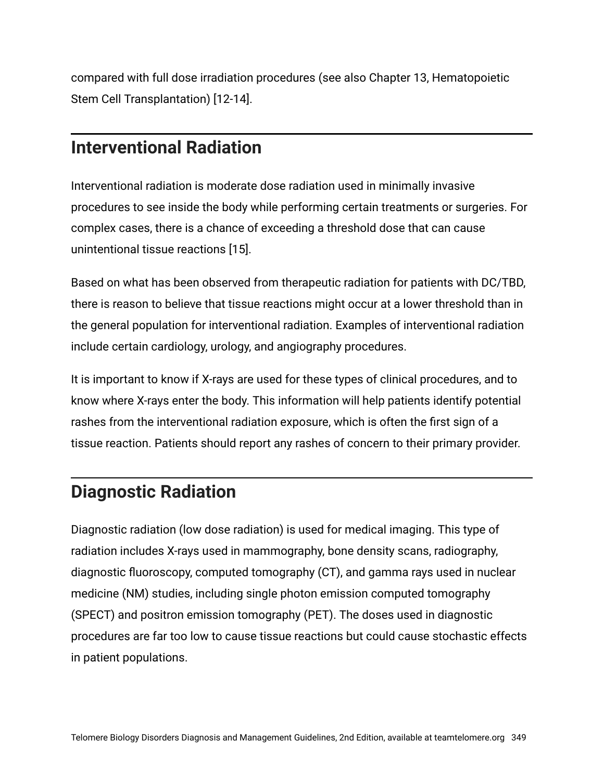compared with full dose irradiation procedures (see also Chapter 13, Hematopoietic Stem Cell Transplantation) [12-14].

### **Interventional Radiation**

Interventional radiation is moderate dose radiation used in minimally invasive procedures to see inside the body while performing certain treatments or surgeries. For complex cases, there is a chance of exceeding a threshold dose that can cause unintentional tissue reactions [15].

Based on what has been observed from therapeutic radiation for patients with DC/TBD, there is reason to believe that tissue reactions might occur at a lower threshold than in the general population for interventional radiation. Examples of interventional radiation include certain cardiology, urology, and angiography procedures.

It is important to know if X-rays are used for these types of clinical procedures, and to know where X-rays enter the body. This information will help patients identify potential rashes from the interventional radiation exposure, which is often the first sign of a tissue reaction. Patients should report any rashes of concern to their primary provider.

# **Diagnostic Radiation**

Diagnostic radiation (low dose radiation) is used for medical imaging. This type of radiation includes X-rays used in mammography, bone density scans, radiography, diagnostic fluoroscopy, computed tomography (CT), and gamma rays used in nuclear medicine (NM) studies, including single photon emission computed tomography (SPECT) and positron emission tomography (PET). The doses used in diagnostic procedures are far too low to cause tissue reactions but could cause stochastic effects in patient populations.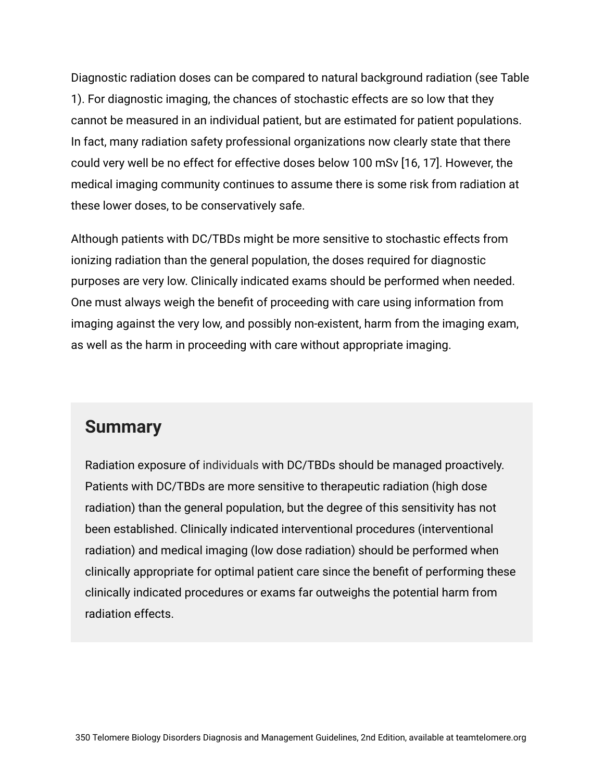Diagnostic radiation doses can be compared to natural background radiation (see Table 1). For diagnostic imaging, the chances of stochastic effects are so low that they cannot be measured in an individual patient, but are estimated for patient populations. In fact, many radiation safety professional organizations now clearly state that there could very well be no effect for effective doses below 100 mSv [16, 17]. However, the medical imaging community continues to assume there is some risk from radiation at these lower doses, to be conservatively safe.

Although patients with DC/TBDs might be more sensitive to stochastic effects from ionizing radiation than the general population, the doses required for diagnostic purposes are very low. Clinically indicated exams should be performed when needed. One must always weigh the benefit of proceeding with care using information from imaging against the very low, and possibly non-existent, harm from the imaging exam, as well as the harm in proceeding with care without appropriate imaging.

#### **Summary**

Radiation exposure of individuals with DC/TBDs should be managed proactively. Patients with DC/TBDs are more sensitive to therapeutic radiation (high dose radiation) than the general population, but the degree of this sensitivity has not been established. Clinically indicated interventional procedures (interventional radiation) and medical imaging (low dose radiation) should be performed when clinically appropriate for optimal patient care since the benefit of performing these clinically indicated procedures or exams far outweighs the potential harm from radiation effects.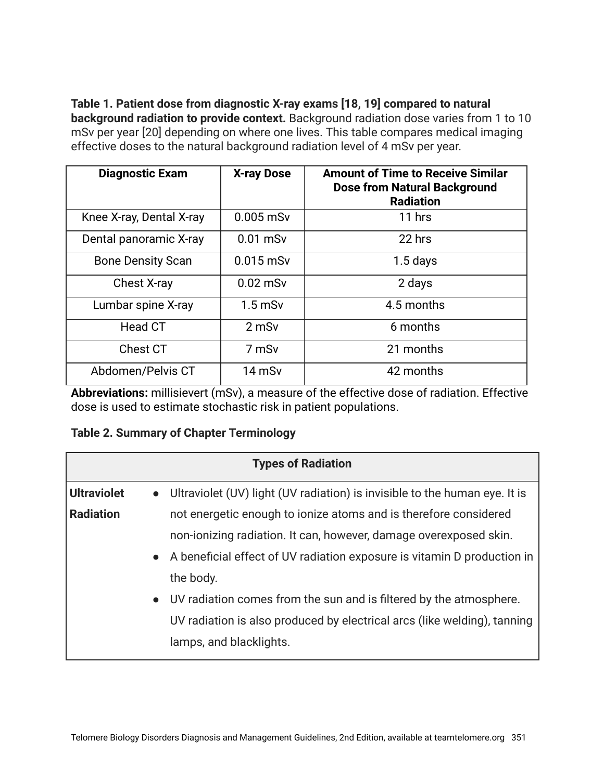**Table 1. Patient dose from diagnostic X-ray exams [18, 19] compared to natural**

**background radiation to provide context.** Background radiation dose varies from 1 to 10 mSv per year [20] depending on where one lives. This table compares medical imaging effective doses to the natural background radiation level of 4 mSv per year.

| <b>Diagnostic Exam</b>   | <b>X-ray Dose</b> | <b>Amount of Time to Receive Similar</b><br><b>Dose from Natural Background</b><br><b>Radiation</b> |
|--------------------------|-------------------|-----------------------------------------------------------------------------------------------------|
| Knee X-ray, Dental X-ray | $0.005$ mSv       | 11 hrs                                                                                              |
| Dental panoramic X-ray   | $0.01$ mSv        | 22 hrs                                                                                              |
| <b>Bone Density Scan</b> | $0.015$ mSv       | $1.5$ days                                                                                          |
| <b>Chest X-ray</b>       | $0.02$ mSv        | 2 days                                                                                              |
| Lumbar spine X-ray       | $1.5$ mSv         | 4.5 months                                                                                          |
| Head CT                  | 2 mSv             | 6 months                                                                                            |
| Chest CT                 | 7 mSv             | 21 months                                                                                           |
| Abdomen/Pelvis CT        | 14 mSv            | 42 months                                                                                           |

**Abbreviations:** millisievert (mSv), a measure of the effective dose of radiation. Effective dose is used to estimate stochastic risk in patient populations.

|  |  |  |  | <b>Table 2. Summary of Chapter Terminology</b> |
|--|--|--|--|------------------------------------------------|
|--|--|--|--|------------------------------------------------|

|                    | <b>Types of Radiation</b>                                                               |
|--------------------|-----------------------------------------------------------------------------------------|
| <b>Ultraviolet</b> | Ultraviolet (UV) light (UV radiation) is invisible to the human eye. It is<br>$\bullet$ |
| Radiation          | not energetic enough to ionize atoms and is therefore considered                        |
|                    | non-ionizing radiation. It can, however, damage overexposed skin.                       |
|                    | A beneficial effect of UV radiation exposure is vitamin D production in<br>$\bullet$    |
|                    | the body.                                                                               |
|                    | UV radiation comes from the sun and is filtered by the atmosphere.<br>$\bullet$         |
|                    | UV radiation is also produced by electrical arcs (like welding), tanning                |
|                    | lamps, and blacklights.                                                                 |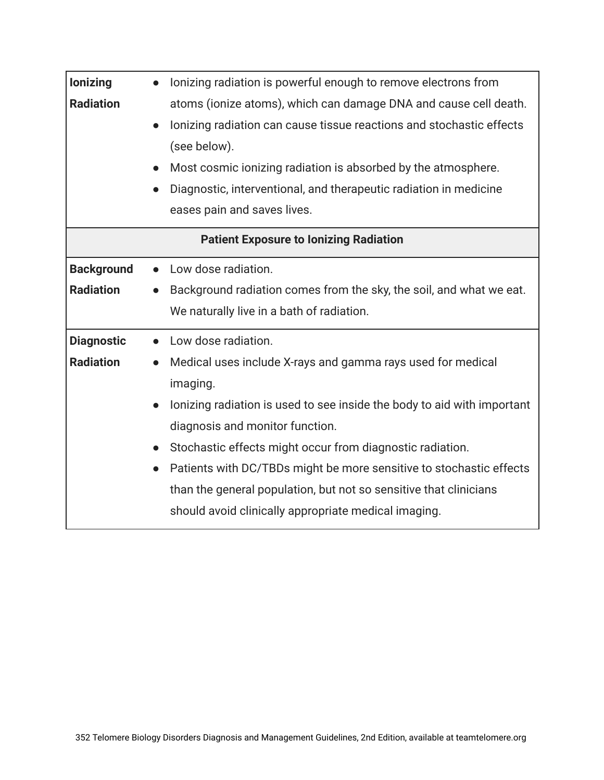| lonizing          | lonizing radiation is powerful enough to remove electrons from                       |
|-------------------|--------------------------------------------------------------------------------------|
| <b>Radiation</b>  | atoms (ionize atoms), which can damage DNA and cause cell death.                     |
|                   | lonizing radiation can cause tissue reactions and stochastic effects                 |
|                   | (see below).                                                                         |
|                   | Most cosmic ionizing radiation is absorbed by the atmosphere.                        |
|                   | Diagnostic, interventional, and therapeutic radiation in medicine<br>$\bullet$       |
|                   | eases pain and saves lives.                                                          |
|                   | <b>Patient Exposure to lonizing Radiation</b>                                        |
| <b>Background</b> | Low dose radiation.<br>$\bullet$                                                     |
| <b>Radiation</b>  | Background radiation comes from the sky, the soil, and what we eat.                  |
|                   | We naturally live in a bath of radiation.                                            |
| <b>Diagnostic</b> | Low dose radiation.<br>$\bullet$                                                     |
| <b>Radiation</b>  | Medical uses include X-rays and gamma rays used for medical<br>$\bullet$             |
|                   | imaging.                                                                             |
|                   | lonizing radiation is used to see inside the body to aid with important<br>$\bullet$ |
|                   | diagnosis and monitor function.                                                      |
|                   | Stochastic effects might occur from diagnostic radiation.<br>$\bullet$               |
|                   | Patients with DC/TBDs might be more sensitive to stochastic effects<br>$\bullet$     |
|                   | than the general population, but not so sensitive that clinicians                    |
|                   | should avoid clinically appropriate medical imaging.                                 |
|                   |                                                                                      |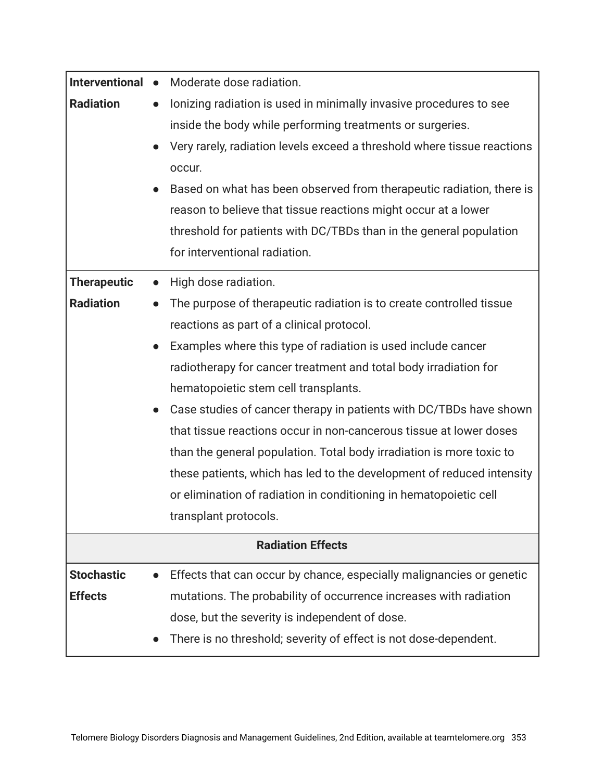| Interventional •         | Moderate dose radiation.                                                          |  |
|--------------------------|-----------------------------------------------------------------------------------|--|
| <b>Radiation</b>         | lonizing radiation is used in minimally invasive procedures to see<br>$\bullet$   |  |
|                          | inside the body while performing treatments or surgeries.                         |  |
|                          | Very rarely, radiation levels exceed a threshold where tissue reactions           |  |
|                          | occur.                                                                            |  |
|                          | Based on what has been observed from therapeutic radiation, there is              |  |
|                          | reason to believe that tissue reactions might occur at a lower                    |  |
|                          | threshold for patients with DC/TBDs than in the general population                |  |
|                          | for interventional radiation.                                                     |  |
| <b>Therapeutic</b>       | High dose radiation.<br>$\bullet$                                                 |  |
| <b>Radiation</b>         | The purpose of therapeutic radiation is to create controlled tissue               |  |
|                          | reactions as part of a clinical protocol.                                         |  |
|                          | Examples where this type of radiation is used include cancer<br>$\bullet$         |  |
|                          | radiotherapy for cancer treatment and total body irradiation for                  |  |
|                          | hematopoietic stem cell transplants.                                              |  |
|                          | Case studies of cancer therapy in patients with DC/TBDs have shown<br>$\bullet$   |  |
|                          | that tissue reactions occur in non-cancerous tissue at lower doses                |  |
|                          | than the general population. Total body irradiation is more toxic to              |  |
|                          | these patients, which has led to the development of reduced intensity             |  |
|                          | or elimination of radiation in conditioning in hematopoietic cell                 |  |
|                          | transplant protocols.                                                             |  |
| <b>Radiation Effects</b> |                                                                                   |  |
| <b>Stochastic</b>        | Effects that can occur by chance, especially malignancies or genetic<br>$\bullet$ |  |
| <b>Effects</b>           | mutations. The probability of occurrence increases with radiation                 |  |
|                          | dose, but the severity is independent of dose.                                    |  |
|                          | There is no threshold; severity of effect is not dose-dependent.                  |  |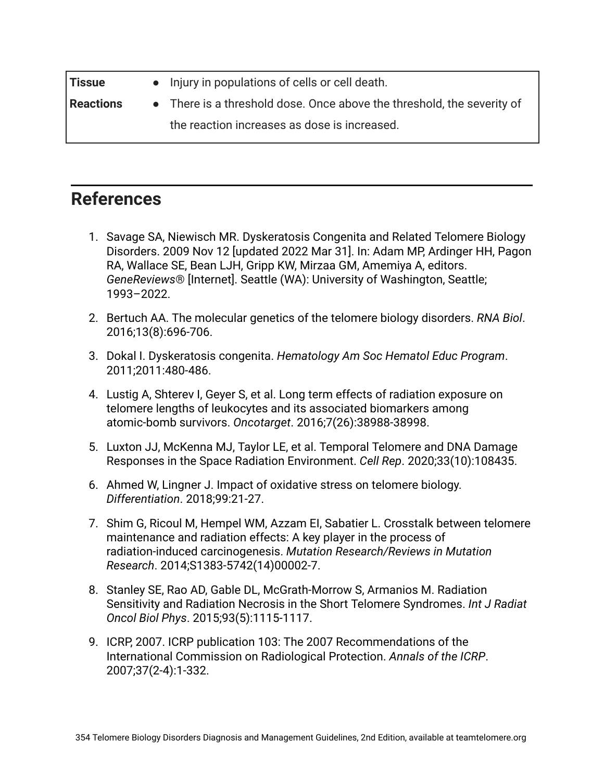| <b>Tissue</b>    | • Injury in populations of cells or cell death.                        |
|------------------|------------------------------------------------------------------------|
| <b>Reactions</b> | • There is a threshold dose. Once above the threshold, the severity of |
|                  | the reaction increases as dose is increased.                           |

#### **References**

- 1. Savage SA, Niewisch MR. Dyskeratosis Congenita and Related Telomere Biology Disorders. 2009 Nov 12 [updated 2022 Mar 31]. In: Adam MP, Ardinger HH, Pagon RA, Wallace SE, Bean LJH, Gripp KW, Mirzaa GM, Amemiya A, editors. *GeneReviews*® [Internet]. Seattle (WA): University of Washington, Seattle; 1993–2022.
- 2. Bertuch AA. The molecular genetics of the telomere biology disorders. *RNA Biol*. 2016;13(8):696-706.
- 3. Dokal I. Dyskeratosis congenita. *Hematology Am Soc Hematol Educ Program*. 2011;2011:480-486.
- 4. Lustig A, Shterev I, Geyer S, et al. Long term effects of radiation exposure on telomere lengths of leukocytes and its associated biomarkers among atomic-bomb survivors. *Oncotarget*. 2016;7(26):38988-38998.
- 5. Luxton JJ, McKenna MJ, Taylor LE, et al. Temporal Telomere and DNA Damage Responses in the Space Radiation Environment. *Cell Rep*. 2020;33(10):108435.
- 6. Ahmed W, Lingner J. Impact of oxidative stress on telomere biology. *Differentiation*. 2018;99:21-27.
- 7. Shim G, Ricoul M, Hempel WM, Azzam EI, Sabatier L. Crosstalk between telomere maintenance and radiation effects: A key player in the process of radiation-induced carcinogenesis. *Mutation Research/Reviews in Mutation Research*. 2014;S1383-5742(14)00002-7.
- 8. Stanley SE, Rao AD, Gable DL, McGrath-Morrow S, Armanios M. Radiation Sensitivity and Radiation Necrosis in the Short Telomere Syndromes. *Int J Radiat Oncol Biol Phys*. 2015;93(5):1115-1117.
- 9. ICRP, 2007. ICRP publication 103: The 2007 Recommendations of the International Commission on Radiological Protection. *Annals of the ICRP*. 2007;37(2-4):1-332.